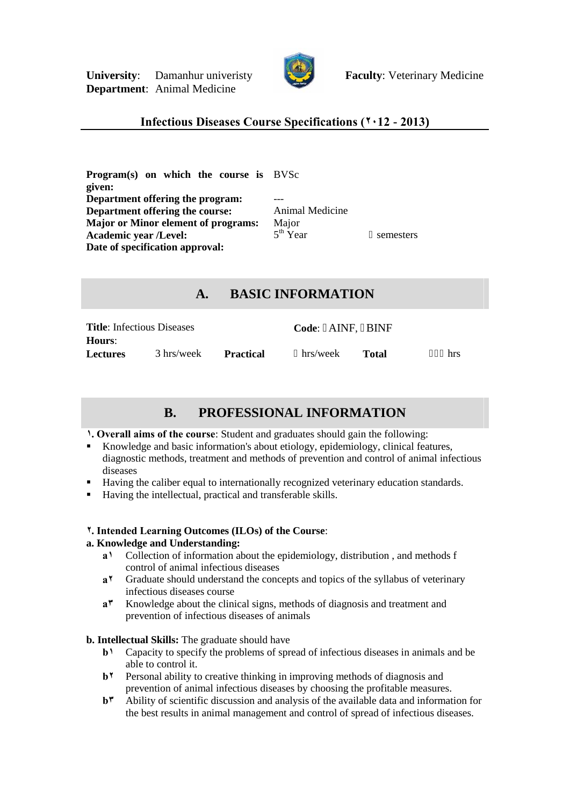

## **Infectious Diseases Course Specifications (٢٠12 - 2013)**

**Program(s) on which the course is** BVSc **given: Department offering the program: Department offering the course:** Animal Medicine **Major or Minor element of programs:** Major<br>Academic year *(Level:* 5<sup>th</sup> Year **Academic year /Level:** 5 **Date of specification approval:**

semesters

# **A. BASIC INFORMATION**

| <b>Title:</b> Infectious Diseases |            |           | Code: AINF, BINF |       |     |
|-----------------------------------|------------|-----------|------------------|-------|-----|
| <b>Hours:</b>                     |            |           |                  |       |     |
| <b>Lectures</b>                   | 3 hrs/week | Practical | hrs/week         | Total | hrs |

## **B. PROFESSIONAL INFORMATION**

**١. Overall aims of the course**: Student and graduates should gain the following:

- Knowledge and basic information's about etiology, epidemiology, clinical features, diagnostic methods, treatment and methods of prevention and control of animal infectious diseases
- Having the caliber equal to internationally recognized veterinary education standards.
- Having the intellectual, practical and transferable skills.

## **٢. Intended Learning Outcomes (ILOs) of the Course**:

#### **a. Knowledge and Understanding:**

- **a١** Collection of information about the epidemiology, distribution , and methods f control of animal infectious diseases
- **a٢** Graduate should understand the concepts and topics of the syllabus of veterinary infectious diseases course
- **a٣** Knowledge about the clinical signs, methods of diagnosis and treatment and prevention of infectious diseases of animals

## **b. Intellectual Skills:** The graduate should have

- **b**<sup>1</sup> Capacity to specify the problems of spread of infectious diseases in animals and be able to control it.
- **b<sup>1</sup>** Personal ability to creative thinking in improving methods of diagnosis and prevention of animal infectious diseases by choosing the profitable measures.
- **b٣** Ability of scientific discussion and analysis of the available data and information for the best results in animal management and control of spread of infectious diseases.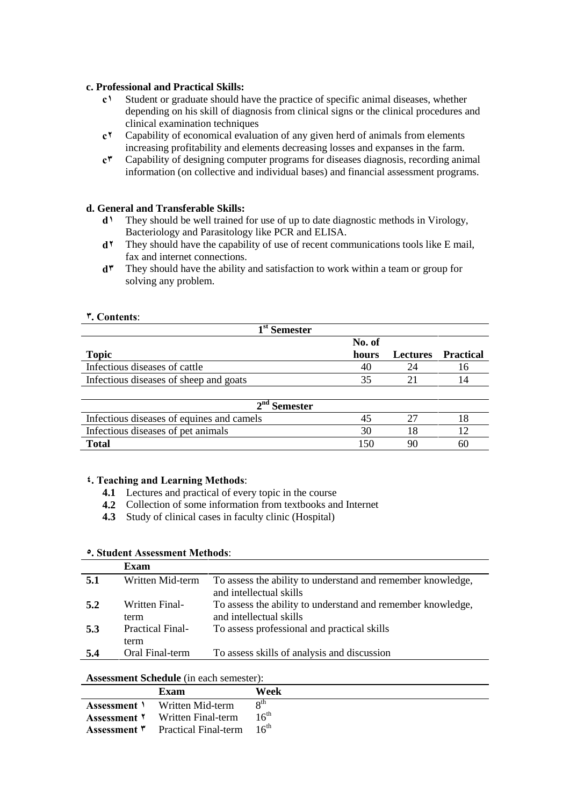#### **c. Professional and Practical Skills:**

- **c١** Student or graduate should have the practice of specific animal diseases, whether depending on his skill of diagnosis from clinical signs or the clinical procedures and clinical examination techniques
- **c٢** Capability of economical evaluation of any given herd of animals from elements increasing profitability and elements decreasing losses and expanses in the farm.
- **c٣** Capability of designing computer programs for diseases diagnosis, recording animal information (on collective and individual bases) and financial assessment programs.

#### **d. General and Transferable Skills:**

- **d**<sup>1</sup> They should be well trained for use of up to date diagnostic methods in Virology, Bacteriology and Parasitology like PCR and ELISA.
- **d<sup>\*</sup>** They should have the capability of use of recent communications tools like E mail, fax and internet connections.
- **d٣** They should have the ability and satisfaction to work within a team or group for solving any problem.

#### **٣. Contents**:

| 1 <sup>st</sup> Semester               |        |    |                    |
|----------------------------------------|--------|----|--------------------|
|                                        | No. of |    |                    |
| <b>Topic</b>                           | hours  |    | Lectures Practical |
| Infectious diseases of cattle          | 40     | 24 |                    |
| Infectious diseases of sheep and goats |        |    |                    |

| $2nd$ Semester                            |  |  |    |  |
|-------------------------------------------|--|--|----|--|
| Infectious diseases of equines and camels |  |  |    |  |
| Infectious diseases of pet animals        |  |  |    |  |
| Total                                     |  |  | 60 |  |

#### **٤. Teaching and Learning Methods**:

- **4.1** Lectures and practical of every topic in the course
- **4.2** Collection of some information from textbooks and Internet
- **4.3** Study of clinical cases in faculty clinic (Hospital)

#### **٥. Student Assessment Methods**:

|     | Exam                            |                                                                                        |
|-----|---------------------------------|----------------------------------------------------------------------------------------|
| 5.1 | Written Mid-term                | To assess the ability to understand and remember knowledge,<br>and intellectual skills |
| 5.2 | Written Final-<br>term          | To assess the ability to understand and remember knowledge,<br>and intellectual skills |
| 5.3 | <b>Practical Final-</b><br>term | To assess professional and practical skills                                            |
| 5.4 | Oral Final-term                 | To assess skills of analysis and discussion                                            |

#### **Assessment Schedule** (in each semester):

| Exam                                                                 | Week      |
|----------------------------------------------------------------------|-----------|
| <b>Assessment</b> V Written Mid-term                                 | oth       |
| <b>Assessment</b> Y Written Final-term                               | $16^{th}$ |
| <b>Assessment</b> $\mathbf{v}$ Practical Final-term $16^{\text{th}}$ |           |